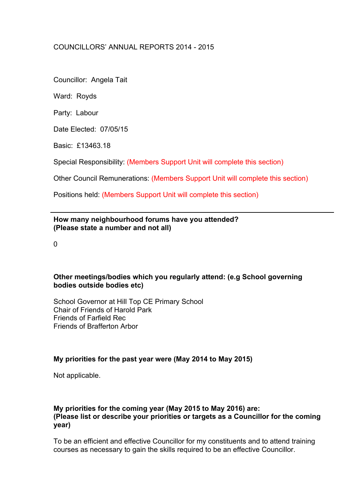# COUNCILLORS' ANNUAL REPORTS 2014 - 2015

Councillor: Angela Tait

Ward: Royds

Party: Labour

Date Elected: 07/05/15

Basic: £13463.18

Special Responsibility: (Members Support Unit will complete this section)

Other Council Remunerations: (Members Support Unit will complete this section)

Positions held: (Members Support Unit will complete this section)

#### **How many neighbourhood forums have you attended? (Please state a number and not all)**

 $\Omega$ 

## **Other meetings/bodies which you regularly attend: (e.g School governing bodies outside bodies etc)**

School Governor at Hill Top CE Primary School Chair of Friends of Harold Park Friends of Farfield Rec Friends of Brafferton Arbor

## **My priorities for the past year were (May 2014 to May 2015)**

Not applicable.

#### **My priorities for the coming year (May 2015 to May 2016) are: (Please list or describe your priorities or targets as a Councillor for the coming year)**

To be an efficient and effective Councillor for my constituents and to attend training courses as necessary to gain the skills required to be an effective Councillor.